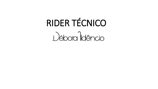# RIDER TÉCNICO Débora IIdêncio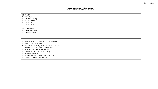## **APRESENTAÇÃO SOLO**

Débora<sup>1</sup>Idêncio

### – MICROFONE SHURE SM58, BETA 58 OU SIMILAR – PEDESTAL DE MICROFONE – DIRECTS BOX (VIOLÃO, CAVAQUINHO E PLAY ALONG) – SUPORTES DE CHÃO PARA INSTRUMENTO – MONITOR SPOT SM400 OU SIMILAR 1 - VIA AUXILIAR PARA IN EAR (PRÓPRIO) – TOMADAS (BIVOLT) – CONSOLE DIGITAL BEHRINGER XR 18 OU SIMILAR – CADEIRA OU BANCO SEM BRAÇO **INPUT LIST** – VIOLÃO (DI) – CAVAQUINHO (DI) – VOCAL DÉBORA – CANAL 4 VS L – CANAL 5 VS R **VIAS AUXILIARES** – VIA IN EAR DÉBORA – VIA SPOT DÉBORA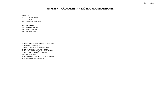## **APRESENTAÇÃO (ARTISTA + MÚSICO ACOMPANHANTE)**

Débora<sup>1</sup>Idêncio

#### **INPUT LIST**

- VIOLÃO DÉBORA(DI)
- VIOLÃO (DI)
- CAVAQUINHO DÉBORA (DI)

#### **VIAS AUXILIARES**

- VIA IN EAR DÉBORA
- VIA SPOT DÉBORA
- VIA VIOLÃO FONE

- MICROFONES SHURE SM58, BETA 58 OU SIMILAR
- PEDESTAIS DE MICROFONE
- DIRECTS BOX ( 2 VIOLÕES, CAVAQUINHO)
- SUPORTES DE CHÃO PARA INSTRUMENTO
- MONITOR SPOT SM400, CLAIR 112 OU SIMILAR ,
- 2 VIA AUXILIAR PARA IN EAR (PRÓPRIO)
- TOMADAS (BIVOLT)
- CONSOLE DIGITAL BEHRINGER XR 18 OU SIMILAR
- CADEIRA OU BANCO SEM BRAÇO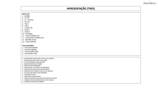## **APRESENTAÇÃO (TRIO)**

#### **INPUT LIST**

– BUMBO

– CX TOP

– CX – ESTEIRA

– HIT HAT

– TON 1  $6 - TON2$ 

– FLOOR TON

– OVERL L

– OVER R

– GUITARRA

– VIOLÃO DÉBORA (DI)

– CAVAQUINHO DÉBORA (DI)

– BACKING VOCAL

– VOCAL DÉBORA

#### **VIAS AUXILIARES**

– VIA IN EAR DÉBORA

- VIA SPOT DÉBORA
- VIA GUITARRA FONE
- VIA BATERIA FONE

– MICROFONES SHURE SM58, BETA 58 OU SIMILAR

– MICROFONE SM57 PARA A GUITARRA

– KIT DE MICROFONE PARA BATERIA

– AMPLIFICADOR DE GUITARRA

– PEDESTAIS DE MICROFONE

– DIRECTS BOX ( 2 VIOLÕES, CAVAQUINHO)

– SUPORTES DE CHÃO PARA INSTRUMENTO

– MONITOR SPOT SM400, CLAIR 112 OU SIMILAR ,

– VIA AUXILIAR PARA IN EAR (PRÓPRIO)

– TOMADAS (BIVOLT)

– PRATICÁVEL PARA BATERIA

– CORPO DE BATERIA COM PELES EM PERFEITO ESTADO

– CONSOLE DIGITAL BEHRINGER XR 18 OU SIMILAR

– CADEIRA OU BANCO SEM BRAÇO